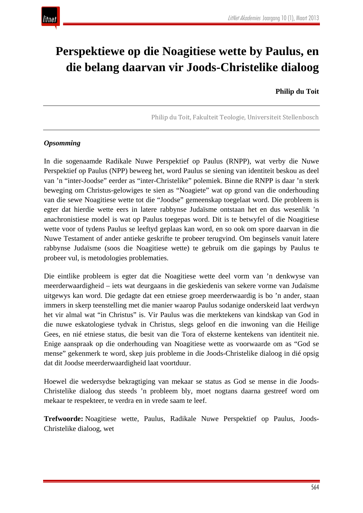

# **Perspektiewe op die Noagitiese wette by Paulus, en die belang daarvan vir Joods-Christelike dialoog**

## **Philip du Toit**

Philip du Toit, Fakulteit Teologie, Universiteit Stellenbosch

## *Opsomming*

In die sogenaamde Radikale Nuwe Perspektief op Paulus (RNPP), wat verby die Nuwe Perspektief op Paulus (NPP) beweeg het, word Paulus se siening van identiteit beskou as deel van 'n "inter-Joodse" eerder as "inter-Christelike" polemiek. Binne die RNPP is daar 'n sterk beweging om Christus-gelowiges te sien as "Noagiete" wat op grond van die onderhouding van die sewe Noagitiese wette tot die "Joodse" gemeenskap toegelaat word. Die probleem is egter dat hierdie wette eers in latere rabbynse Judaïsme ontstaan het en dus wesenlik 'n anachronistiese model is wat op Paulus toegepas word. Dit is te betwyfel of die Noagitiese wette voor of tydens Paulus se leeftyd geplaas kan word, en so ook om spore daarvan in die Nuwe Testament of ander antieke geskrifte te probeer terugvind. Om beginsels vanuit latere rabbynse Judaïsme (soos die Noagitiese wette) te gebruik om die gapings by Paulus te probeer vul, is metodologies problematies.

Die eintlike probleem is egter dat die Noagitiese wette deel vorm van 'n denkwyse van meerderwaardigheid – iets wat deurgaans in die geskiedenis van sekere vorme van Judaïsme uitgewys kan word. Die gedagte dat een etniese groep meerderwaardig is bo 'n ander, staan immers in skerp teenstelling met die manier waarop Paulus sodanige onderskeid laat verdwyn het vir almal wat "in Christus" is. Vir Paulus was die merktekens van kindskap van God in die nuwe eskatologiese tydvak in Christus, slegs geloof en die inwoning van die Heilige Gees, en nié etniese status, die besit van die Tora of eksterne kentekens van identiteit nie. Enige aanspraak op die onderhouding van Noagitiese wette as voorwaarde om as "God se mense" gekenmerk te word, skep juis probleme in die Joods-Christelike dialoog in dié opsig dat dit Joodse meerderwaardigheid laat voortduur.

Hoewel die wedersydse bekragtiging van mekaar se status as God se mense in die Joods-Christelike dialoog dus steeds 'n probleem bly, moet nogtans daarna gestreef word om mekaar te respekteer, te verdra en in vrede saam te leef.

**Trefwoorde:** Noagitiese wette, Paulus, Radikale Nuwe Perspektief op Paulus, Joods-Christelike dialoog, wet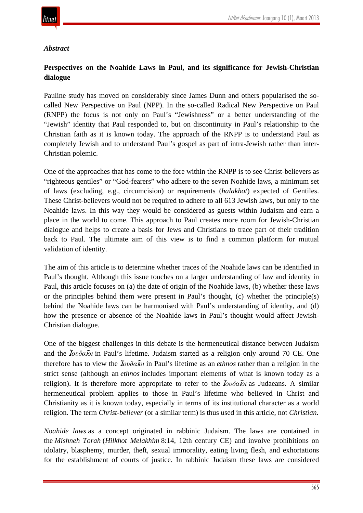

## *Abstract*

# **Perspectives on the Noahide Laws in Paul, and its significance for Jewish-Christian dialogue**

Pauline study has moved on considerably since James Dunn and others popularised the socalled New Perspective on Paul (NPP). In the so-called Radical New Perspective on Paul (RNPP) the focus is not only on Paul's "Jewishness" or a better understanding of the "Jewish" identity that Paul responded to, but on discontinuity in Paul's relationship to the Christian faith as it is known today. The approach of the RNPP is to understand Paul as completely Jewish and to understand Paul's gospel as part of intra-Jewish rather than inter-Christian polemic.

One of the approaches that has come to the fore within the RNPP is to see Christ-believers as "righteous gentiles" or "God-fearers" who adhere to the seven Noahide laws, a minimum set of laws (excluding, e.g., circumcision) or requirements (*halakhot*) expected of Gentiles. These Christ-believers would not be required to adhere to all 613 Jewish laws, but only to the Noahide laws. In this way they would be considered as guests within Judaism and earn a place in the world to come. This approach to Paul creates more room for Jewish-Christian dialogue and helps to create a basis for Jews and Christians to trace part of their tradition back to Paul. The ultimate aim of this view is to find a common platform for mutual validation of identity.

The aim of this article is to determine whether traces of the Noahide laws can be identified in Paul's thought. Although this issue touches on a larger understanding of law and identity in Paul, this article focuses on (a) the date of origin of the Noahide laws, (b) whether these laws or the principles behind them were present in Paul's thought, (c) whether the principle(s) behind the Noahide laws can be harmonised with Paul's understanding of identity, and (d) how the presence or absence of the Noahide laws in Paul's thought would affect Jewish-Christian dialogue.

One of the biggest challenges in this debate is the hermeneutical distance between Judaism and the Ἰ*ουδα*ῖ*οι* in Paul's lifetime. Judaism started as a religion only around 70 CE. One therefore has to view the Ἰ*ουδα*ῖ*οι* in Paul's lifetime as an *ethnos* rather than a religion in the strict sense (although an *ethnos* includes important elements of what is known today as a religion). It is therefore more appropriate to refer to the Ἰ*ουδα*ῖ*οι* as Judaeans. A similar hermeneutical problem applies to those in Paul's lifetime who believed in Christ and Christianity as it is known today, especially in terms of its institutional character as a world religion. The term *Christ-believer* (or a similar term) is thus used in this article, not *Christian*.

*Noahide laws* as a concept originated in rabbinic Judaism. The laws are contained in the *Mishneh Torah* (*Hilkhot Melakhim* 8:14, 12th century CE) and involve prohibitions on idolatry, blasphemy, murder, theft, sexual immorality, eating living flesh, and exhortations for the establishment of courts of justice. In rabbinic Judaism these laws are considered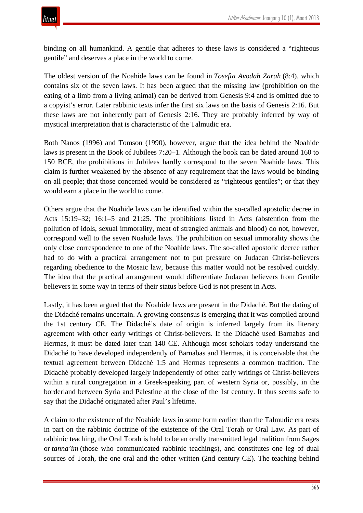binding on all humankind. A gentile that adheres to these laws is considered a "righteous gentile" and deserves a place in the world to come.

The oldest version of the Noahide laws can be found in *Tosefta Avodah Zarah* (8:4), which contains six of the seven laws. It has been argued that the missing law (prohibition on the eating of a limb from a living animal) can be derived from Genesis 9:4 and is omitted due to a copyist's error. Later rabbinic texts infer the first six laws on the basis of Genesis 2:16. But these laws are not inherently part of Genesis 2:16. They are probably inferred by way of mystical interpretation that is characteristic of the Talmudic era.

Both Nanos (1996) and Tomson (1990), however, argue that the idea behind the Noahide laws is present in the Book of Jubilees 7:20–1. Although the book can be dated around 160 to 150 BCE, the prohibitions in Jubilees hardly correspond to the seven Noahide laws. This claim is further weakened by the absence of any requirement that the laws would be binding on all people; that those concerned would be considered as "righteous gentiles"; or that they would earn a place in the world to come.

Others argue that the Noahide laws can be identified within the so-called apostolic decree in Acts 15:19–32; 16:1–5 and 21:25. The prohibitions listed in Acts (abstention from the pollution of idols, sexual immorality, meat of strangled animals and blood) do not, however, correspond well to the seven Noahide laws. The prohibition on sexual immorality shows the only close correspondence to one of the Noahide laws. The so-called apostolic decree rather had to do with a practical arrangement not to put pressure on Judaean Christ-believers regarding obedience to the Mosaic law, because this matter would not be resolved quickly. The idea that the practical arrangement would differentiate Judaean believers from Gentile believers in some way in terms of their status before God is not present in Acts.

Lastly, it has been argued that the Noahide laws are present in the Didaché. But the dating of the Didaché remains uncertain. A growing consensus is emerging that it was compiled around the 1st century CE. The Didaché's date of origin is inferred largely from its literary agreement with other early writings of Christ-believers. If the Didaché used Barnabas and Hermas, it must be dated later than 140 CE. Although most scholars today understand the Didaché to have developed independently of Barnabas and Hermas, it is conceivable that the textual agreement between Didaché 1:5 and Hermas represents a common tradition. The Didaché probably developed largely independently of other early writings of Christ-believers within a rural congregation in a Greek-speaking part of western Syria or, possibly, in the borderland between Syria and Palestine at the close of the 1st century. It thus seems safe to say that the Didaché originated after Paul's lifetime.

A claim to the existence of the Noahide laws in some form earlier than the Talmudic era rests in part on the rabbinic doctrine of the existence of the Oral Torah or Oral Law. As part of rabbinic teaching, the Oral Torah is held to be an orally transmitted legal tradition from Sages or *tanna'im* (those who communicated rabbinic teachings), and constitutes one leg of dual sources of Torah, the one oral and the other written (2nd century CE). The teaching behind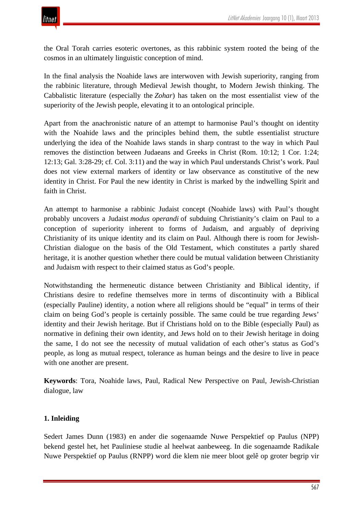the Oral Torah carries esoteric overtones, as this rabbinic system rooted the being of the cosmos in an ultimately linguistic conception of mind.

In the final analysis the Noahide laws are interwoven with Jewish superiority, ranging from the rabbinic literature, through Medieval Jewish thought, to Modern Jewish thinking. The Cabbalistic literature (especially the *Zohar*) has taken on the most essentialist view of the superiority of the Jewish people, elevating it to an ontological principle.

Apart from the anachronistic nature of an attempt to harmonise Paul's thought on identity with the Noahide laws and the principles behind them, the subtle essentialist structure underlying the idea of the Noahide laws stands in sharp contrast to the way in which Paul removes the distinction between Judaeans and Greeks in Christ (Rom. 10:12; 1 Cor. 1:24; 12:13; Gal. 3:28-29; cf. Col. 3:11) and the way in which Paul understands Christ's work. Paul does not view external markers of identity or law observance as constitutive of the new identity in Christ. For Paul the new identity in Christ is marked by the indwelling Spirit and faith in Christ.

An attempt to harmonise a rabbinic Judaist concept (Noahide laws) with Paul's thought probably uncovers a Judaist *modus operandi* of subduing Christianity's claim on Paul to a conception of superiority inherent to forms of Judaism, and arguably of depriving Christianity of its unique identity and its claim on Paul. Although there is room for Jewish-Christian dialogue on the basis of the Old Testament, which constitutes a partly shared heritage, it is another question whether there could be mutual validation between Christianity and Judaism with respect to their claimed status as God's people.

Notwithstanding the hermeneutic distance between Christianity and Biblical identity, if Christians desire to redefine themselves more in terms of discontinuity with a Biblical (especially Pauline) identity, a notion where all religions should be "equal" in terms of their claim on being God's people is certainly possible. The same could be true regarding Jews' identity and their Jewish heritage. But if Christians hold on to the Bible (especially Paul) as normative in defining their own identity, and Jews hold on to their Jewish heritage in doing the same, I do not see the necessity of mutual validation of each other's status as God's people, as long as mutual respect, tolerance as human beings and the desire to live in peace with one another are present.

**Keywords**: Tora, Noahide laws, Paul, Radical New Perspective on Paul, Jewish-Christian dialogue, law

## **1. Inleiding**

Sedert James Dunn (1983) en ander die sogenaamde Nuwe Perspektief op Paulus (NPP) bekend gestel het, het Pauliniese studie al heelwat aanbeweeg. In die sogenaamde Radikale Nuwe Perspektief op Paulus (RNPP) word die klem nie meer bloot gelê op groter begrip vir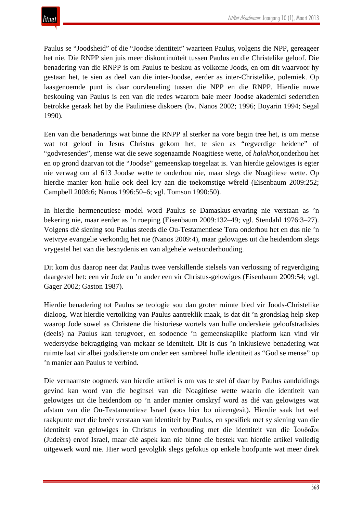Paulus se "Joodsheid" of die "Joodse identiteit" waarteen Paulus, volgens die NPP, gereageer het nie. Die RNPP sien juis meer diskontinuïteit tussen Paulus en die Christelike geloof. Die benadering van die RNPP is om Paulus te beskou as volkome Joods, en om dit waarvoor hy gestaan het, te sien as deel van die inter-Joodse, eerder as inter-Christelike, polemiek. Op laasgenoemde punt is daar oorvleueling tussen die NPP en die RNPP. Hierdie nuwe beskouing van Paulus is een van die redes waarom baie meer Joodse akademici sedertdien betrokke geraak het by die Pauliniese diskoers (bv. Nanos 2002; 1996; Boyarin 1994; Segal 1990).

Een van die benaderings wat binne die RNPP al sterker na vore begin tree het, is om mense wat tot geloof in Jesus Christus gekom het, te sien as "regverdige heidene" of "godvresendes", mense wat die sewe sogenaamde Noagitiese wette, of *halakhot*,onderhou het en op grond daarvan tot die "Joodse" gemeenskap toegelaat is. Van hierdie gelowiges is egter nie verwag om al 613 Joodse wette te onderhou nie, maar slegs die Noagitiese wette. Op hierdie manier kon hulle ook deel kry aan die toekomstige wêreld (Eisenbaum 2009:252; Campbell 2008:6; Nanos 1996:50–6; vgl. Tomson 1990:50).

In hierdie hermeneutiese model word Paulus se Damaskus-ervaring nie verstaan as 'n bekering nie, maar eerder as 'n roeping (Eisenbaum 2009:132–49; vgl. Stendahl 1976:3–27). Volgens dié siening sou Paulus steeds die Ou-Testamentiese Tora onderhou het en dus nie 'n wetvrye evangelie verkondig het nie (Nanos 2009:4), maar gelowiges uit die heidendom slegs vrygestel het van die besnydenis en van algehele wetsonderhouding.

Dit kom dus daarop neer dat Paulus twee verskillende stelsels van verlossing of regverdiging daargestel het: een vir Jode en 'n ander een vir Christus-gelowiges (Eisenbaum 2009:54; vgl. Gager 2002; Gaston 1987).

Hierdie benadering tot Paulus se teologie sou dan groter ruimte bied vir Joods-Christelike dialoog. Wat hierdie vertolking van Paulus aantreklik maak, is dat dit 'n grondslag help skep waarop Jode sowel as Christene die historiese wortels van hulle onderskeie geloofstradisies (deels) na Paulus kan terugvoer, en sodoende 'n gemeenskaplike platform kan vind vir wedersydse bekragtiging van mekaar se identiteit. Dit is dus 'n inklusiewe benadering wat ruimte laat vir albei godsdienste om onder een sambreel hulle identiteit as "God se mense" op 'n manier aan Paulus te verbind.

Die vernaamste oogmerk van hierdie artikel is om vas te stel óf daar by Paulus aanduidings gevind kan word van die beginsel van die Noagitiese wette waarin die identiteit van gelowiges uit die heidendom op 'n ander manier omskryf word as dié van gelowiges wat afstam van die Ou-Testamentiese Israel (soos hier bo uiteengesit). Hierdie saak het wel raakpunte met die breër verstaan van identiteit by Paulus, en spesifiek met sy siening van die identiteit van gelowiges in Christus in verhouding met die identiteit van die Ἰουδαῖοι (Judeërs) en/of Israel, maar dié aspek kan nie binne die bestek van hierdie artikel volledig uitgewerk word nie. Hier word gevolglik slegs gefokus op enkele hoofpunte wat meer direk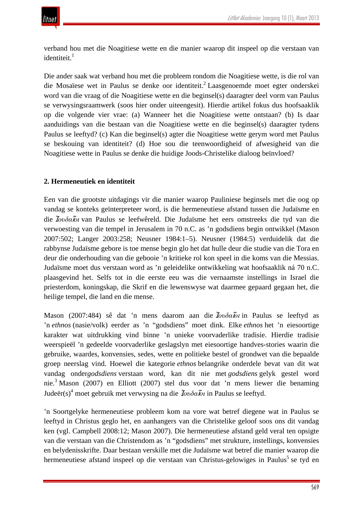verband hou met die Noagitiese wette en die manier waarop dit inspeel op die verstaan van identiteit.<sup>1</sup>

Die ander saak wat verband hou met die probleem rondom die Noagitiese wette, is die rol van die Mosaïese wet in Paulus se denke oor identiteit.<sup>2</sup> Laasgenoemde moet egter onderskei word van die vraag of die Noagitiese wette en die beginsel(s) daaragter deel vorm van Paulus se verwysingsraamwerk (soos hier onder uiteengesit). Hierdie artikel fokus dus hoofsaaklik op die volgende vier vrae: (a) Wanneer het die Noagitiese wette ontstaan? (b) Is daar aanduidings van die bestaan van die Noagitiese wette en die beginsel(s) daaragter tydens Paulus se leeftyd? (c) Kan die beginsel(s) agter die Noagitiese wette gerym word met Paulus se beskouing van identiteit? (d) Hoe sou die teenwoordigheid of afwesigheid van die Noagitiese wette in Paulus se denke die huidige Joods-Christelike dialoog beïnvloed?

## **2. Hermeneutiek en identiteit**

Een van die grootste uitdagings vir die manier waarop Pauliniese beginsels met die oog op vandag se konteks geïnterpreteer word, is die hermeneutiese afstand tussen die Judaïsme en die Ἰ*ουδα*ῖ*οι* van Paulus se leefwêreld. Die Judaïsme het eers omstreeks die tyd van die verwoesting van die tempel in Jerusalem in 70 n.C. as 'n godsdiens begin ontwikkel (Mason 2007:502; Langer 2003:258; Neusner 1984:1–5). Neusner (1984:5) verduidelik dat die rabbynse Judaïsme gebore is toe mense begin glo het dat hulle deur die studie van die Tora en deur die onderhouding van die gebooie 'n kritieke rol kon speel in die koms van die Messias. Judaïsme moet dus verstaan word as 'n geleidelike ontwikkeling wat hoofsaaklik ná 70 n.C. plaasgevind het. Selfs tot in die eerste eeu was die vernaamste instellings in Israel die priesterdom, koningskap, die Skrif en die lewenswyse wat daarmee gepaard gegaan het, die heilige tempel, die land en die mense.

Mason (2007:484) sê dat 'n mens daarom aan die Ἰ*ουδα*ῖ*οι* in Paulus se leeftyd as 'n *ethnos* (nasie/volk) eerder as 'n "godsdiens" moet dink. Elke *ethnos* het 'n eiesoortige karakter wat uitdrukking vind binne 'n unieke voorvaderlike tradisie. Hierdie tradisie weerspieël 'n gedeelde voorvaderlike geslagslyn met eiesoortige handves-stories waarin die gebruike, waardes, konvensies, sedes, wette en politieke bestel of grondwet van die bepaalde groep neerslag vind. Hoewel die kategorie *ethnos* belangrike onderdele bevat van dit wat vandag onder*godsdiens* verstaan word, kan dit nie met *godsdiens* gelyk gestel word nie.3 Mason (2007) en Elliott (2007) stel dus voor dat 'n mens liewer die benaming Judeër(s)<sup>4</sup> moet gebruik met verwysing na die <sup>Ἰ</sup>*ουδα*ῖ*οι* in Paulus se leeftyd.

'n Soortgelyke hermeneutiese probleem kom na vore wat betref diegene wat in Paulus se leeftyd in Christus geglo het, en aanhangers van die Christelike geloof soos ons dit vandag ken (vgl. Campbell 2008:12; Mason 2007). Die hermeneutiese afstand geld veral ten opsigte van die verstaan van die Christendom as 'n "godsdiens" met strukture, instellings, konvensies en belydenisskrifte. Daar bestaan verskille met die Judaïsme wat betref die manier waarop die hermeneutiese afstand inspeel op die verstaan van Christus-gelowiges in Paulus<sup>5</sup> se tyd en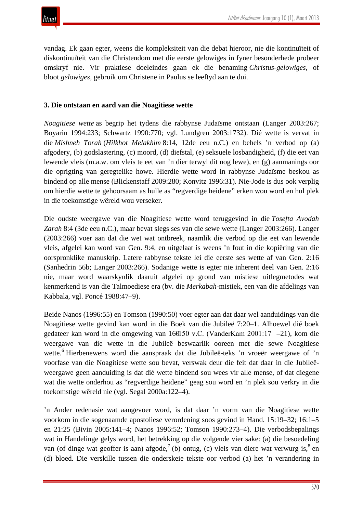vandag. Ek gaan egter, weens die kompleksiteit van die debat hieroor, nie die kontinuïteit of diskontinuïteit van die Christendom met die eerste gelowiges in fyner besonderhede probeer omskryf nie. Vir praktiese doeleindes gaan ek die benaming *Christus-gelowiges*, of bloot *gelowiges*, gebruik om Christene in Paulus se leeftyd aan te dui.

## **3. Die ontstaan en aard van die Noagitiese wette**

*Noagitiese wette* as begrip het tydens die rabbynse Judaïsme ontstaan (Langer 2003:267; Boyarin 1994:233; Schwartz 1990:770; vgl. Lundgren 2003:1732). Dié wette is vervat in die *Mishneh Torah* (*Hilkhot Melakhim* 8:14, 12de eeu n.C.) en behels 'n verbod op (a) afgodery, (b) godslastering, (c) moord, (d) diefstal, (e) seksuele losbandigheid, (f) die eet van lewende vleis (m.a.w. om vleis te eet van 'n dier terwyl dit nog lewe), en (g) aanmanings oor die oprigting van geregtelike howe. Hierdie wette word in rabbynse Judaïsme beskou as bindend op alle mense (Blickenstaff 2009:280; Konvitz 1996:31). Nie-Jode is dus ook verplig om hierdie wette te gehoorsaam as hulle as "regverdige heidene" erken wou word en hul plek in die toekomstige wêreld wou verseker.

Die oudste weergawe van die Noagitiese wette word teruggevind in die *Tosefta Avodah Zarah* 8:4 (3de eeu n.C.), maar bevat slegs ses van die sewe wette (Langer 2003:266). Langer (2003:266) voer aan dat die wet wat ontbreek, naamlik die verbod op die eet van lewende vleis, afgelei kan word van Gen. 9:4, en uitgelaat is weens 'n fout in die kopiëring van die oorspronklike manuskrip. Latere rabbynse tekste lei die eerste ses wette af van Gen. 2:16 (Sanhedrin 56b; Langer 2003:266). Sodanige wette is egter nie inherent deel van Gen. 2:16 nie, maar word waarskynlik daaruit afgelei op grond van mistiese uitlegmetodes wat kenmerkend is van die Talmoediese era (bv. die *Merkabah-*mistiek, een van die afdelings van Kabbala, vgl. Poncé 1988:47–9).

Beide Nanos (1996:55) en Tomson (1990:50) voer egter aan dat daar wel aanduidings van die Noagitiese wette gevind kan word in die Boek van die Jubileë 7:20–1. Alhoewel dié boek gedateer kan word in die omgewing van 160150 v.C. (VanderKam 2001:17 –21), kom die weergawe van die wette in die Jubileë beswaarlik ooreen met die sewe Noagitiese wette.<sup>6</sup> Hierbenewens word die aanspraak dat die Jubileë-teks 'n vroeër weergawe of 'n voorfase van die Noagitiese wette sou bevat, verswak deur die feit dat daar in die Jubileëweergawe geen aanduiding is dat dié wette bindend sou wees vir alle mense, of dat diegene wat die wette onderhou as "regverdige heidene" geag sou word en 'n plek sou verkry in die toekomstige wêreld nie (vgl. Segal 2000a:122–4).

'n Ander redenasie wat aangevoer word, is dat daar 'n vorm van die Noagitiese wette voorkom in die sogenaamde apostoliese verordening soos gevind in Hand. 15:19–32; 16:1–5 en 21:25 (Bivin 2005:141–4; Nanos 1996:52; Tomson 1990:273–4). Die verbodsbepalings wat in Handelinge gelys word, het betrekking op die volgende vier sake: (a) die besoedeling van (of dinge wat geoffer is aan) afgode,<sup>7</sup> (b) ontug, (c) vleis van diere wat verwurg is,<sup>8</sup> en (d) bloed. Die verskille tussen die onderskeie tekste oor verbod (a) het 'n verandering in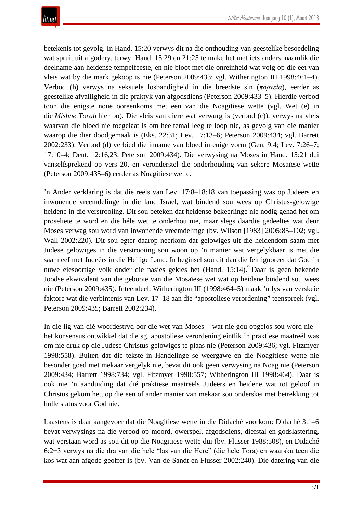betekenis tot gevolg. In Hand. 15:20 verwys dit na die onthouding van geestelike besoedeling wat spruit uit afgodery, terwyl Hand. 15:29 en 21:25 te make het met iets anders, naamlik die deelname aan heidense tempelfeeste, en nie bloot met die onreinheid wat volg op die eet van vleis wat by die mark gekoop is nie (Peterson 2009:433; vgl. Witherington III 1998:461–4). Verbod (b) verwys na seksuele losbandigheid in die breedste sin (*πορνεία*), eerder as geestelike afvalligheid in die praktyk van afgodsdiens (Peterson 2009:433–5). Hierdie verbod toon die enigste noue ooreenkoms met een van die Noagitiese wette (vgl. Wet (e) in die *Mishne Torah* hier bo). Die vleis van diere wat verwurg is (verbod (c)), verwys na vleis waarvan die bloed nie toegelaat is om heeltemal leeg te loop nie, as gevolg van die manier waarop die dier doodgemaak is (Eks. 22:31; Lev. 17:13–6; Peterson 2009:434; vgl. Barrett 2002:233). Verbod (d) verbied die inname van bloed in enige vorm (Gen. 9:4; Lev. 7:26–7; 17:10–4; Deut. 12:16,23; Peterson 2009:434). Die verwysing na Moses in Hand. 15:21 dui vanselfsprekend op vers 20, en veronderstel die onderhouding van sekere Mosaïese wette (Peterson 2009:435–6) eerder as Noagitiese wette.

'n Ander verklaring is dat die reëls van Lev. 17:8–18:18 van toepassing was op Judeërs en inwonende vreemdelinge in die land Israel, wat bindend sou wees op Christus-gelowige heidene in die verstrooiing. Dit sou beteken dat heidense bekeerlinge nie nodig gehad het om proseliete te word en die héle wet te onderhou nie, maar slegs daardie gedeeltes wat deur Moses verwag sou word van inwonende vreemdelinge (bv. Wilson [1983] 2005:85–102; vgl. Wall 2002:220). Dit sou egter daarop neerkom dat gelowiges uit die heidendom saam met Judese gelowiges in die verstrooiing sou woon op 'n manier wat vergelykbaar is met die saamleef met Judeërs in die Heilige Land. In beginsel sou dit dan die feit ignoreer dat God 'n nuwe eiesoortige volk onder die nasies gekies het (Hand. 15:14). Daar is geen bekende Joodse ekwivalent van die gebooie van die Mosaïese wet wat op heidene bindend sou wees nie (Peterson 2009:435). Inteendeel, Witherington III (1998:464–5) maak 'n lys van verskeie faktore wat die verbintenis van Lev. 17–18 aan die "apostoliese verordening" teenspreek (vgl. Peterson 2009:435; Barrett 2002:234).

In die lig van dié woordestryd oor die wet van Moses – wat nie gou opgelos sou word nie – het konsensus ontwikkel dat die sg. apostoliese verordening eintlik 'n praktiese maatreël was om nie druk op die Judese Christus-gelowiges te plaas nie (Peterson 2009:436; vgl. Fitzmyer 1998:558). Buiten dat die tekste in Handelinge se weergawe en die Noagitiese wette nie besonder goed met mekaar vergelyk nie, bevat dit ook geen verwysing na Noag nie (Peterson 2009:434; Barrett 1998:734; vgl. Fitzmyer 1998:557; Witherington III 1998:464). Daar is ook nie 'n aanduiding dat dié praktiese maatreëls Judeërs en heidene wat tot geloof in Christus gekom het, op die een of ander manier van mekaar sou onderskei met betrekking tot hulle status voor God nie.

Laastens is daar aangevoer dat die Noagitiese wette in die Didaché voorkom: Didaché 3:1–6 bevat verwysings na die verbod op moord, owerspel, afgodsdiens, diefstal en godslastering, wat verstaan word as sou dit op die Noagitiese wette dui (bv. Flusser 1988:508), en Didaché 6:2−3 verwys na die dra van die hele "las van die Here" (die hele Tora) en waarsku teen die kos wat aan afgode geoffer is (bv. Van de Sandt en Flusser 2002:240). Die datering van die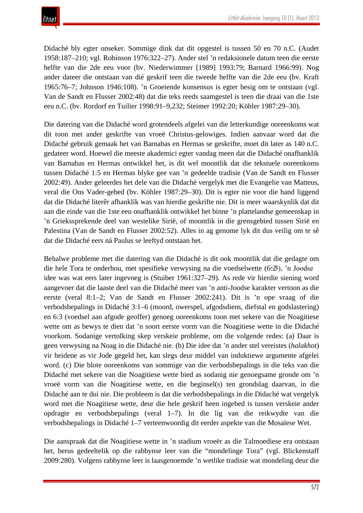Didaché bly egter onseker. Sommige dink dat dit opgestel is tussen 50 en 70 n.C. (Audet 1958:187–210; vgl. Robinson 1976:322–27). Ander stel 'n redaksionele datum teen die eerste helfte van die 2de eeu voor (bv. Niederwimmer [1989] 1993:79; Barnard 1966:99). Nog ander dateer die ontstaan van dié geskrif teen die tweede helfte van die 2de eeu (bv. Kraft 1965:76–7; Johnson 1946:108). 'n Groeiende konsensus is egter besig om te ontstaan (vgl. Van de Sandt en Flusser 2002:48) dat die teks reeds saamgestel is teen die draai van die 1ste eeu n.C. (bv. Rordorf en Tuilier 1998:91–9,232; Steimer 1992:20; Köhler 1987:29–30).

Die datering van die Didaché word grotendeels afgelei van die letterkundige ooreenkoms wat dit toon met ander geskrifte van vroeë Christus-gelowiges. Indien aanvaar word dat die Didaché gebruik gemaak het van Barnabas en Hermas se geskrifte, moet dit later as 140 n.C. gedateer word. Hoewel die meeste akademici egter vandag meen dat die Didaché onafhanklik van Barnabas en Hermas ontwikkel het, is dit wel moontlik dat die tekstuele ooreenkoms tussen Didaché 1:5 en Hermas blyke gee van 'n gedeelde tradisie (Van de Sandt en Flusser 2002:49). Ander geleerdes het dele van die Didaché vergelyk met die Evangelie van Matteus, veral die Ons Vader-gebed (bv. Köhler 1987:29–30). Dit is egter nie voor die hand liggend dat die Didaché literêr afhanklik was van hierdie geskrifte nie. Dit is meer waarskynlik dat dit aan die einde van die 1ste eeu onafhanklik ontwikkel het binne 'n plattelandse gemeenskap in 'n Griekssprekende deel van westelike Sirië, of moontlik in die grensgebied tussen Sirië en Palestina (Van de Sandt en Flusser 2002:52). Alles in ag genome lyk dit dus veilig om te sê dat die Didaché eers ná Paulus se leeftyd ontstaan het.

Behalwe probleme met die datering van die Didaché is dit ook moontlik dat die gedagte om die hele Tora te onderhou, met spesifieke verwysing na die voedselwette (6:2−3), 'n Joodse idee was wat eers later ingevoeg is (Stuiber 1961:327–29). As rede vir hierdie siening word aangevoer dat die laaste deel van die Didaché meer van 'n anti-Joodse karakter vertoon as die eerste (veral 8:1–2; Van de Sandt en Flusser 2002:241). Dit is 'n ope vraag of die verbodsbepalings in Didaché 3:1–6 (moord, owerspel, afgodsdiens, diefstal en godslastering) en 6:3 (voedsel aan afgode geoffer) genoeg ooreenkoms toon met sekere van die Noagitiese wette om as bewys te dien dat 'n soort eerste vorm van die Noagitiese wette in die Didaché voorkom. Sodanige vertolking skep verskeie probleme, om die volgende redes: (a) Daar is geen verwysing na Noag in die Didaché nie. (b) Die idee dat 'n ander stel vereistes (*halakhot*) vir heidene as vir Jode gegeld het, kan slegs deur middel van induktiewe argumente afgelei word. (c) Die blote ooreenkoms van sommige van die verbodsbepalings in die teks van die Didaché met sekere van die Noagitiese wette bied as sodanig nie genoegsame gronde om 'n vroeë vorm van die Noagitiese wette, en die beginsel(s) ten grondslag daarvan, in die Didaché aan te dui nie. Die probleem is dat die verbodsbepalings in die Didaché wat vergelyk word met die Noagitiese wette, deur die hele geskrif heen ingebed is tussen verskeie ander opdragte en verbodsbepalings (veral 1–7). In die lig van die reikwydte van die verbodsbepalings in Didaché 1–7 verteenwoordig dit eerder aspekte van die Mosaïese Wet.

Die aanspraak dat die Noagitiese wette in 'n stadium vroeër as die Talmoediese era ontstaan het, berus gedeeltelik op die rabbynse leer van die "mondelinge Tora" (vgl. Blickenstaff 2009:280). Volgens rabbynse leer is laasgenoemde 'n wetlike tradisie wat mondeling deur die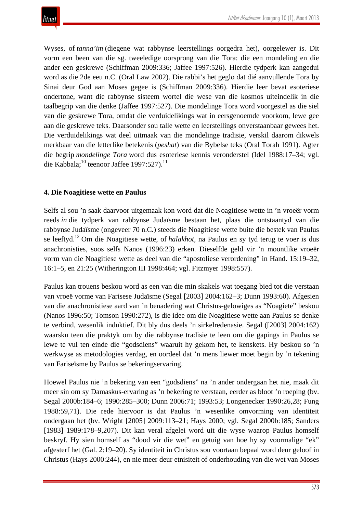Wyses, of *tanna'im* (diegene wat rabbynse leerstellings oorgedra het), oorgelewer is. Dit vorm een been van die sg. tweeledige oorsprong van die Tora: die een mondeling en die ander een geskrewe (Schiffman 2009:336; Jaffee 1997:526). Hierdie tydperk kan aangedui word as die 2de eeu n.C. (Oral Law 2002). Die rabbi's het geglo dat dié aanvullende Tora by Sinai deur God aan Moses gegee is (Schiffman 2009:336). Hierdie leer bevat esoteriese ondertone, want die rabbynse sisteem wortel die wese van die kosmos uiteindelik in die taalbegrip van die denke (Jaffee 1997:527). Die mondelinge Tora word voorgestel as die siel van die geskrewe Tora, omdat die verduidelikings wat in eersgenoemde voorkom, lewe gee aan die geskrewe teks. Daarsonder sou talle wette en leerstellings onverstaanbaar gewees het. Die verduidelikings wat deel uitmaak van die mondelinge tradisie, verskil daarom dikwels merkbaar van die letterlike betekenis (*peshat*) van die Bybelse teks (Oral Torah 1991). Agter die begrip *mondelinge Tora* word dus esoteriese kennis veronderstel (Idel 1988:17–34; vgl. die Kabbala; $^{10}$  teenoor Jaffee 1997:527).<sup>11</sup>

## **4. Die Noagitiese wette en Paulus**

Selfs al sou 'n saak daarvoor uitgemaak kon word dat die Noagitiese wette in 'n vroeër vorm reeds *in* die tydperk van rabbynse Judaïsme bestaan het, plaas die ontstaantyd van die rabbynse Judaïsme (ongeveer 70 n.C.) steeds die Noagitiese wette buite die bestek van Paulus se leeftyd.<sup>12</sup> Om die Noagitiese wette, of *halakhot*, na Paulus en sy tyd terug te voer is dus anachronisties, soos selfs Nanos (1996:23) erken. Dieselfde geld vir 'n moontlike vroeër vorm van die Noagitiese wette as deel van die "apostoliese verordening" in Hand. 15:19–32, 16:1–5, en 21:25 (Witherington III 1998:464; vgl. Fitzmyer 1998:557).

Paulus kan trouens beskou word as een van die min skakels wat toegang bied tot die verstaan van vroeë vorme van Farisese Judaïsme (Segal [2003] 2004:162–3; Dunn 1993:60). Afgesien van die anachronistiese aard van 'n benadering wat Christus-gelowiges as "Noagiete" beskou (Nanos 1996:50; Tomson 1990:272), is die idee om die Noagitiese wette aan Paulus se denke te verbind, wesenlik induktief. Dit bly dus deels 'n sirkelredenasie. Segal ([2003] 2004:162) waarsku teen die praktyk om by die rabbynse tradisie te leen om die gapings in Paulus se lewe te vul ten einde die "godsdiens" waaruit hy gekom het, te kenskets. Hy beskou so 'n werkwyse as metodologies verdag, en oordeel dat 'n mens liewer moet begin by 'n tekening van Fariseïsme by Paulus se bekeringservaring.

Hoewel Paulus nie 'n bekering van een "godsdiens" na 'n ander ondergaan het nie, maak dit meer sin om sy Damaskus-ervaring as 'n bekering te verstaan, eerder as bloot 'n roeping (bv. Segal 2000b:184–6; 1990:285–300; Dunn 2006:71; 1993:53; Longenecker 1990:26,28; Fung 1988:59,71). Die rede hiervoor is dat Paulus 'n wesenlike omvorming van identiteit ondergaan het (bv. Wright [2005] 2009:113–21; Hays 2000; vgl. Segal 2000b:185; Sanders [1983] 1989:178–9,207). Dit kan veral afgelei word uit die wyse waarop Paulus homself beskryf. Hy sien homself as "dood vir die wet" en getuig van hoe hy sy voormalige "ek" afgesterf het (Gal. 2:19–20). Sy identiteit in Christus sou voortaan bepaal word deur geloof in Christus (Hays 2000:244), en nie meer deur etnisiteit of onderhouding van die wet van Moses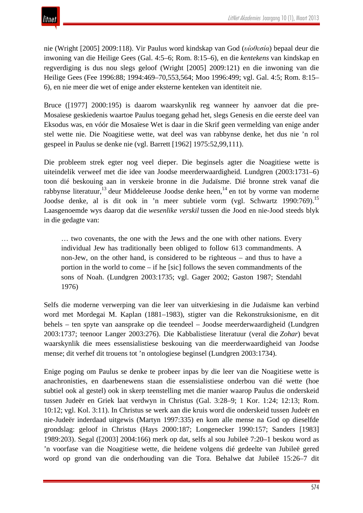

nie (Wright [2005] 2009:118). Vir Paulus word kindskap van God (*υι*̔*οθεσία*) bepaal deur die inwoning van die Heilige Gees (Gal. 4:5–6; Rom. 8:15–6), en die *kentekens* van kindskap en regverdiging is dus nou slegs geloof (Wright [2005] 2009:121) en die inwoning van die Heilige Gees (Fee 1996:88; 1994:469–70,553,564; Moo 1996:499; vgl. Gal. 4:5; Rom. 8:15– 6), en nie meer die wet of enige ander eksterne kenteken van identiteit nie.

Bruce ([1977] 2000:195) is daarom waarskynlik reg wanneer hy aanvoer dat die pre-Mosaïese geskiedenis waartoe Paulus toegang gehad het, slegs Genesis en die eerste deel van Eksodus was, en vóór die Mosaïese Wet is daar in die Skrif geen vermelding van enige ander stel wette nie. Die Noagitiese wette, wat deel was van rabbynse denke, het dus nie 'n rol gespeel in Paulus se denke nie (vgl. Barrett [1962] 1975:52,99,111).

Die probleem strek egter nog veel dieper. Die beginsels agter die Noagitiese wette is uiteindelik verweef met die idee van Joodse meerderwaardigheid. Lundgren (2003:1731–6) toon dié beskouing aan in verskeie bronne in die Judaïsme. Dié bronne strek vanaf die rabbynse literatuur,<sup>13</sup> deur Middeleeuse Joodse denke heen,<sup>14</sup> en tot by vorme van moderne Joodse denke, al is dit ook in 'n meer subtiele vorm (vgl. Schwartz 1990:769).<sup>15</sup> Laasgenoemde wys daarop dat die *wesenlike verskil* tussen die Jood en nie-Jood steeds blyk in die gedagte van:

… two covenants, the one with the Jews and the one with other nations. Every individual Jew has traditionally been obliged to follow 613 commandments. A non-Jew, on the other hand, is considered to be righteous – and thus to have a portion in the world to come – if he [sic] follows the seven commandments of the sons of Noah. (Lundgren 2003:1735; vgl. Gager 2002; Gaston 1987; Stendahl 1976)

Selfs die moderne verwerping van die leer van uitverkiesing in die Judaïsme kan verbind word met Mordegai M. Kaplan (1881–1983), stigter van die Rekonstruksionisme, en dit behels – ten spyte van aansprake op die teendeel – Joodse meerderwaardigheid (Lundgren 2003:1737; teenoor Langer 2003:276). Die Kabbalistiese literatuur (veral die *Zohar*) bevat waarskynlik die mees essensialistiese beskouing van die meerderwaardigheid van Joodse mense; dit verhef dit trouens tot 'n ontologiese beginsel (Lundgren 2003:1734).

Enige poging om Paulus se denke te probeer inpas by die leer van die Noagitiese wette is anachronisties, en daarbenewens staan die essensialistiese onderbou van dié wette (hoe subtiel ook al gestel) ook in skerp teenstelling met die manier waarop Paulus die onderskeid tussen Judeër en Griek laat verdwyn in Christus (Gal. 3:28–9; 1 Kor. 1:24; 12:13; Rom. 10:12; vgl. Kol. 3:11). In Christus se werk aan die kruis word die onderskeid tussen Judeër en nie-Judeër inderdaad uitgewis (Martyn 1997:335) en kom alle mense na God op dieselfde grondslag: geloof in Christus (Hays 2000:187; Longenecker 1990:157; Sanders [1983] 1989:203). Segal ([2003] 2004:166) merk op dat, selfs al sou Jubileë 7:20–1 beskou word as 'n voorfase van die Noagitiese wette, die heidene volgens dié gedeelte van Jubileë gered word op grond van die onderhouding van die Tora. Behalwe dat Jubileë 15:26–7 dit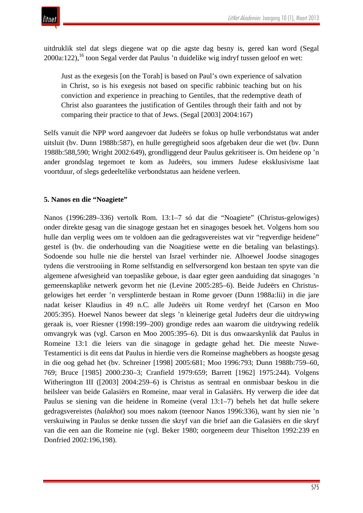

uitdruklik stel dat slegs diegene wat op die agste dag besny is, gered kan word (Segal  $2000a:122$ <sup>16</sup> toon Segal verder dat Paulus 'n duidelike wig indryf tussen geloof en wet:

Just as the exegesis [on the Torah] is based on Paul's own experience of salvation in Christ, so is his exegesis not based on specific rabbinic teaching but on his conviction and experience in preaching to Gentiles, that the redemptive death of Christ also guarantees the justification of Gentiles through their faith and not by comparing their practice to that of Jews. (Segal [2003] 2004:167)

Selfs vanuit die NPP word aangevoer dat Judeërs se fokus op hulle verbondstatus wat ander uitsluit (bv. Dunn 1988b:587), en hulle geregtigheid soos afgebaken deur die wet (bv. Dunn 1988b:588,590; Wright 2002:649), grondliggend deur Paulus gekritiseer is. Om heidene op 'n ander grondslag tegemoet te kom as Judeërs, sou immers Judese eksklusivisme laat voortduur, of slegs gedeeltelike verbondstatus aan heidene verleen.

## **5. Nanos en die "Noagiete"**

Nanos (1996:289–336) vertolk Rom. 13:1–7 só dat die "Noagiete" (Christus-gelowiges) onder direkte gesag van die sinagoge gestaan het en sinagoges besoek het. Volgens hom sou hulle dan verplig wees om te voldoen aan die gedragsvereistes wat vir "regverdige heidene" gestel is (bv. die onderhouding van die Noagitiese wette en die betaling van belastings). Sodoende sou hulle nie die herstel van Israel verhinder nie. Alhoewel Joodse sinagoges tydens die verstrooiing in Rome selfstandig en selfversorgend kon bestaan ten spyte van die algemene afwesigheid van toepaslike geboue, is daar egter geen aanduiding dat sinagoges 'n gemeenskaplike netwerk gevorm het nie (Levine 2005:285–6). Beide Judeërs en Christusgelowiges het eerder 'n versplinterde bestaan in Rome gevoer (Dunn 1988a:lii) in die jare nadat keiser Klaudius in 49 n.C. alle Judeërs uit Rome verdryf het (Carson en Moo 2005:395). Hoewel Nanos beweer dat slegs 'n kleinerige getal Judeërs deur die uitdrywing geraak is, voer Riesner (1998:199–200) grondige redes aan waarom die uitdrywing redelik omvangryk was (vgl. Carson en Moo 2005:395–6). Dit is dus onwaarskynlik dat Paulus in Romeine 13:1 die leiers van die sinagoge in gedagte gehad het. Die meeste Nuwe-Testamentici is dit eens dat Paulus in hierdie vers die Romeinse maghebbers as hoogste gesag in die oog gehad het (bv. Schreiner [1998] 2005:681; Moo 1996:793; Dunn 1988b:759–60, 769; Bruce [1985] 2000:230–3; Cranfield 1979:659; Barrett [1962] 1975:244). Volgens Witherington III ([2003] 2004:259–6) is Christus as sentraal en onmisbaar beskou in die heilsleer van beide Galasiërs en Romeine, maar veral in Galasiërs. Hy verwerp die idee dat Paulus se siening van die heidene in Romeine (veral 13:1–7) behels het dat hulle sekere gedragsvereistes (*halakhot*) sou moes nakom (teenoor Nanos 1996:336), want hy sien nie 'n verskuiwing in Paulus se denke tussen die skryf van die brief aan die Galasiërs en die skryf van die een aan die Romeine nie (vgl. Beker 1980; oorgeneem deur Thiselton 1992:239 en Donfried 2002:196,198).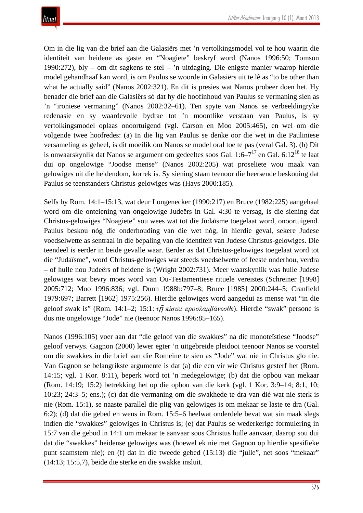Om in die lig van die brief aan die Galasiërs met 'n vertolkingsmodel vol te hou waarin die identiteit van heidene as gaste en "Noagiete" beskryf word (Nanos 1996:50; Tomson 1990:272), bly – om dit sagkens te stel – 'n uitdaging. Die enigste manier waarop hierdie model gehandhaaf kan word, is om Paulus se woorde in Galasiërs uit te lê as "to be other than what he actually said" (Nanos 2002:321). En dit is presies wat Nanos probeer doen het. Hy benader die brief aan die Galasiërs só dat hy die hoofinhoud van Paulus se vermaning sien as 'n "ironiese vermaning" (Nanos 2002:32–61). Ten spyte van Nanos se verbeeldingryke redenasie en sy waardevolle bydrae tot 'n moontlike verstaan van Paulus, is sy vertolkingsmodel oplaas onoortuigend (vgl. Carson en Moo 2005:465), en wel om die volgende twee hoofredes: (a) In die lig van Paulus se denke oor die wet in die Pauliniese versameling as geheel, is dit moeilik om Nanos se model oral toe te pas (veral Gal. 3). (b) Dit is onwaarskynlik dat Nanos se argument om gedeeltes soos Gal.  $1:6-7^{17}$  en Gal.  $6:12^{18}$  te laat dui op ongelowige "Joodse mense" (Nanos 2002:205) wat proseliete wou maak van gelowiges uit die heidendom, korrek is. Sy siening staan teenoor die heersende beskouing dat Paulus se teenstanders Christus-gelowiges was (Hays 2000:185).

Selfs by Rom. 14:1–15:13, wat deur Longenecker (1990:217) en Bruce (1982:225) aangehaal word om die onteiening van ongelowige Judeërs in Gal. 4:30 te versag, is die siening dat Christus-gelowiges "Noagiete" sou wees wat tot die Judaïsme toegelaat word, onoortuigend. Paulus beskou nóg die onderhouding van die wet nóg, in hierdie geval, sekere Judese voedselwette as sentraal in die bepaling van die identiteit van Judese Christus-gelowiges. Die teendeel is eerder in beide gevalle waar. Eerder as dat Christus-gelowiges toegelaat word tot die "Judaïsme", word Christus-gelowiges wat steeds voedselwette of feeste onderhou, verdra – of hulle nou Judeërs of heidene is (Wright 2002:731). Meer waarskynlik was hulle Judese gelowiges wat bevry moes word van Ou-Testamentiese rituele vereistes (Schreiner [1998] 2005:712; Moo 1996:836; vgl. Dunn 1988b:797–8; Bruce [1985] 2000:244–5; Cranfield 1979:697; Barrett [1962] 1975:256). Hierdie gelowiges word aangedui as mense wat "in die geloof swak is" (Rom. 14:1–2; 15:1: *τ*ῇ *πίστει προσλαμβάνεσθε*). Hierdie "swak" persone is dus nie ongelowige "Jode" nie (teenoor Nanos 1996:85–165).

Nanos (1996:105) voer aan dat "die geloof van die swakkes" na die monoteïstiese "Joodse" geloof verwys. Gagnon (2000) lewer egter 'n uitgebreide pleidooi teenoor Nanos se voorstel om die swakkes in die brief aan die Romeine te sien as "Jode" wat nie in Christus glo nie. Van Gagnon se belangrikste argumente is dat (a) die een vir wie Christus gesterf het (Rom. 14:15; vgl. 1 Kor. 8:11), beperk word tot 'n medegelowige; (b) dat die opbou van mekaar (Rom. 14:19; 15:2) betrekking het op die opbou van die kerk (vgl. 1 Kor. 3:9–14; 8:1, 10; 10:23; 24:3–5; ens.); (c) dat die vermaning om die swakhede te dra van dié wat nie sterk is nie (Rom. 15:1), se naaste parallel die plig van gelowiges is om mekaar se laste te dra (Gal. 6:2); (d) dat die gebed en wens in Rom. 15:5–6 heelwat onderdele bevat wat sin maak slegs indien die "swakkes" gelowiges in Christus is; (e) dat Paulus se wederkerige formulering in 15:7 van die gebod in 14:1 om mekaar te aanvaar soos Christus hulle aanvaar, daarop sou dui dat die "swakkes" heidense gelowiges was (hoewel ek nie met Gagnon op hierdie spesifieke punt saamstem nie); en (f) dat in die tweede gebed (15:13) die "julle", net soos "mekaar" (14:13; 15:5,7), beide die sterke en die swakke insluit.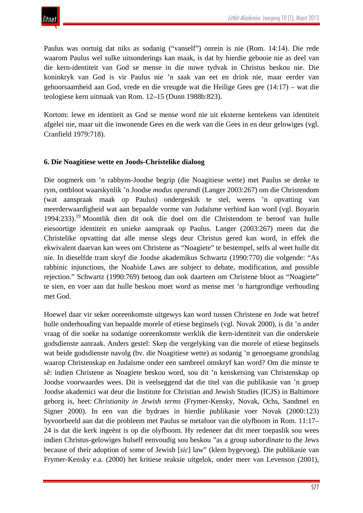

Paulus was oortuig dat niks as sodanig ("vanself") onrein is nie (Rom. 14:14). Die rede waarom Paulus wel sulke uitsonderings kan maak, is dat hy hierdie gebooie nie as deel van die kern-identiteit van God se mense in die nuwe tydvak in Christus beskou nie. Die koninkryk van God is vir Paulus nie 'n saak van eet en drink nie, maar eerder van gehoorsaamheid aan God, vrede en die vreugde wat die Heilige Gees gee (14:17) – wat die teologiese kern uitmaak van Rom. 12–15 (Dunn 1988b:823).

Kortom: lewe en identiteit as God se mense word nie uit eksterne kentekens van identiteit afgelei nie, maar uit die inwonende Gees en die werk van die Gees in en deur gelowiges (vgl. Cranfield 1979:718).

#### **6. Die Noagitiese wette en Joods-Christelike dialoog**

Die oogmerk om 'n rabbyns-Joodse begrip (die Noagitiese wette) met Paulus se denke te rym, ontbloot waarskynlik 'n Joodse *modus operandi* (Langer 2003:267) om die Christendom (wat aanspraak maak op Paulus) ondergeskik te stel, weens 'n opvatting van meerderwaardigheid wat aan bepaalde vorme van Judaïsme verbind kan word (vgl. Boyarin 1994:233).<sup>19</sup> Moontlik dien dit ook die doel om die Christendom te beroof van hulle eiesoortige identiteit en unieke aanspraak op Paulus. Langer (2003:267) meen dat die Christelike opvatting dat alle mense slegs deur Christus gered kan word, in effek die ekwivalent daarvan kan wees om Christene as "Noagiete" te bestempel, selfs al weet hulle dit nie. In dieselfde trant skryf die Joodse akademikus Schwartz (1990:770) die volgende: "As rabbinic injunctions, the Noahide Laws are subject to debate, modification, and possible rejection." Schwartz (1990:769) betoog dan ook daarteen om Christene bloot as "Noagiete" te sien, en voer aan dat hulle beskou moet word as mense met 'n hartgrondige verhouding met God.

Hoewel daar vir seker ooreenkomste uitgewys kan word tussen Christene en Jode wat betref hulle onderhouding van bepaalde morele of etiese beginsels (vgl. Novak 2000), is dit 'n ander vraag of die soeke na sodanige ooreenkomste werklik die kern-identiteit van die onderskeie godsdienste aanraak. Anders gestel: Skep die vergelyking van die morele of etiese beginsels wat beide godsdienste navolg (bv. die Noagitiese wette) as sodanig 'n genoegsame grondslag waarop Christenskap en Judaïsme onder een sambreel omskryf kan word? Om die minste te sê: indien Christene as Noagiete beskou word, sou dit 'n kensketsing van Christenskap op Joodse voorwaardes wees. Dit is veelseggend dat die titel van die publikasie van 'n groep Joodse akademici wat deur die Institute for Christian and Jewish Studies (ICJS) in Baltimore geborg is, heet: *Christianity in Jewish terms* (Frymer-Kensky, Novak, Ochs, Sandmel en Signer 2000). In een van die bydraes in hierdie publikasie voer Novak (2000:123) byvoorbeeld aan dat die probleem met Paulus se metafoor van die olyfboom in Rom. 11:17– 24 is dat die kerk ingeënt is op die olyfboom. Hy redeneer dat dit meer toepaslik sou wees indien Christus-gelowiges hulself eenvoudig sou beskou "as a group *subordinate* to the Jews because of their adoption of some of Jewish [*sic*] law" (klem bygevoeg). Die publikasie van Frymer-Kensky e.a. (2000) het kritiese reaksie uitgelok, onder meer van Levenson (2001),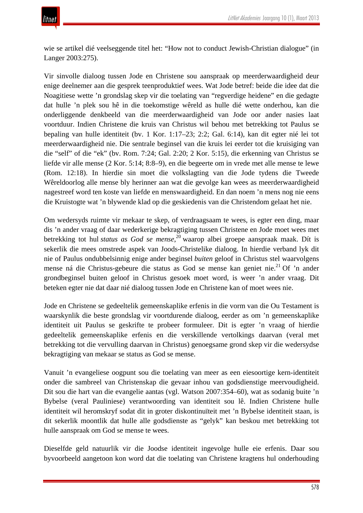wie se artikel dié veelseggende titel het: "How not to conduct Jewish-Christian dialogue" (in Langer 2003:275).

Vir sinvolle dialoog tussen Jode en Christene sou aanspraak op meerderwaardigheid deur enige deelnemer aan die gesprek teenproduktief wees. Wat Jode betref: beide die idee dat die Noagitiese wette 'n grondslag skep vir die toelating van "regverdige heidene" en die gedagte dat hulle 'n plek sou hê in die toekomstige wêreld as hulle dié wette onderhou, kan die onderliggende denkbeeld van die meerderwaardigheid van Jode oor ander nasies laat voortduur. Indien Christene die kruis van Christus wil behou met betrekking tot Paulus se bepaling van hulle identiteit (bv. 1 Kor. 1:17–23; 2:2; Gal. 6:14), kan dit egter nié lei tot meerderwaardigheid nie. Die sentrale beginsel van die kruis lei eerder tot die kruisiging van die "self" of die "ek" (bv. Rom. 7:24; Gal. 2:20; 2 Kor. 5:15), die erkenning van Christus se liefde vir alle mense (2 Kor. 5:14; 8:8–9), en die begeerte om in vrede met alle mense te lewe (Rom. 12:18). In hierdie sin moet die volkslagting van die Jode tydens die Tweede Wêreldoorlog alle mense bly herinner aan wat die gevolge kan wees as meerderwaardigheid nagestreef word ten koste van liefde en menswaardigheid. En dan noem 'n mens nog nie eens die Kruistogte wat 'n blywende klad op die geskiedenis van die Christendom gelaat het nie.

Om wedersyds ruimte vir mekaar te skep, of verdraagsaam te wees, is egter een ding, maar dis 'n ander vraag of daar wederkerige bekragtiging tussen Christene en Jode moet wees met betrekking tot hul *status as God se mense*, <sup>20</sup> waarop albei groepe aanspraak maak. Dít is sekerlik die mees omstrede aspek van Joods-Christelike dialoog. In hierdie verband lyk dit nie of Paulus ondubbelsinnig enige ander beginsel *buiten* geloof in Christus stel waarvolgens mense ná die Christus-gebeure die status as God se mense kan geniet nie.<sup>21</sup> Of 'n ander grondbeginsel buiten geloof in Christus gesoek moet word, is weer 'n ander vraag. Dit beteken egter nie dat daar nié dialoog tussen Jode en Christene kan of moet wees nie.

Jode en Christene se gedeeltelik gemeenskaplike erfenis in die vorm van die Ou Testament is waarskynlik die beste grondslag vir voortdurende dialoog, eerder as om 'n gemeenskaplike identiteit uit Paulus se geskrifte te probeer formuleer. Dit is egter 'n vraag of hierdie gedeeltelik gemeenskaplike erfenis en die verskillende vertolkings daarvan (veral met betrekking tot die vervulling daarvan in Christus) genoegsame grond skep vir die wedersydse bekragtiging van mekaar se status as God se mense.

Vanuit 'n evangeliese oogpunt sou die toelating van meer as een eiesoortige kern-identiteit onder die sambreel van Christenskap die gevaar inhou van godsdienstige meervoudigheid. Dit sou die hart van die evangelie aantas (vgl. Watson 2007:354–60), wat as sodanig buite 'n Bybelse (veral Pauliniese) verantwoording van identiteit sou lê. Indien Christene hulle identiteit wil heromskryf sodat dit in groter diskontinuïteit met 'n Bybelse identiteit staan, is dit sekerlik moontlik dat hulle alle godsdienste as "gelyk" kan beskou met betrekking tot hulle aanspraak om God se mense te wees.

Dieselfde geld natuurlik vir die Joodse identiteit ingevolge hulle eie erfenis. Daar sou byvoorbeeld aangetoon kon word dat die toelating van Christene kragtens hul onderhouding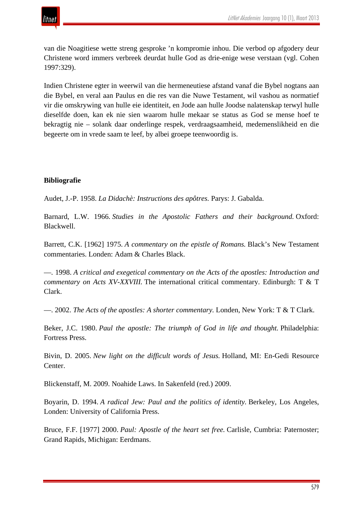

van die Noagitiese wette streng gesproke 'n kompromie inhou. Die verbod op afgodery deur Christene word immers verbreek deurdat hulle God as drie-enige wese verstaan (vgl. Cohen 1997:329).

Indien Christene egter in weerwil van die hermeneutiese afstand vanaf die Bybel nogtans aan die Bybel, en veral aan Paulus en die res van die Nuwe Testament, wil vashou as normatief vir die omskrywing van hulle eie identiteit, en Jode aan hulle Joodse nalatenskap terwyl hulle dieselfde doen, kan ek nie sien waarom hulle mekaar se status as God se mense hoef te bekragtig nie – solank daar onderlinge respek, verdraagsaamheid, medemenslikheid en die begeerte om in vrede saam te leef, by albei groepe teenwoordig is.

#### **Bibliografie**

Audet, J.-P. 1958. *La Didachè: Instructions des apôtres.* Parys: J. Gabalda.

Barnard, L.W. 1966. *Studies in the Apostolic Fathers and their background.* Oxford: Blackwell.

Barrett, C.K. [1962] 1975. *A commentary on the epistle of Romans.* Black's New Testament commentaries. Londen: Adam & Charles Black.

—. 1998. *A critical and exegetical commentary on the Acts of the apostles: Introduction and commentary on Acts XV-XXVIII.* The international critical commentary. Edinburgh: T & T Clark.

—. 2002. *The Acts of the apostles: A shorter commentary.* Londen, New York: T & T Clark.

Beker, J.C. 1980. *Paul the apostle: The triumph of God in life and thought.* Philadelphia: Fortress Press.

Bivin, D. 2005. *New light on the difficult words of Jesus.* Holland, MI: En-Gedi Resource Center.

Blickenstaff, M. 2009. Noahide Laws. In Sakenfeld (red.) 2009.

Boyarin, D. 1994. *A radical Jew: Paul and the politics of identity.* Berkeley, Los Angeles, Londen: University of California Press.

Bruce, F.F. [1977] 2000. *Paul: Apostle of the heart set free.* Carlisle, Cumbria: Paternoster; Grand Rapids, Michigan: Eerdmans.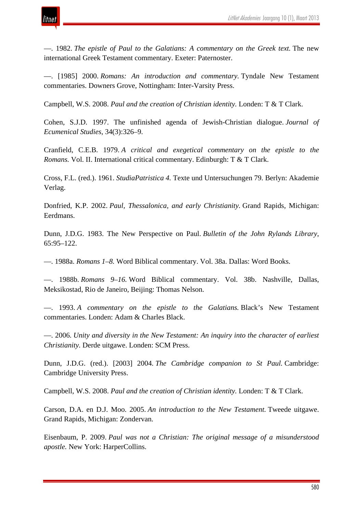

—. 1982. *The epistle of Paul to the Galatians: A commentary on the Greek text.* The new international Greek Testament commentary. Exeter: Paternoster.

—. [1985] 2000. *Romans: An introduction and commentary.* Tyndale New Testament commentaries. Downers Grove, Nottingham: Inter-Varsity Press.

Campbell, W.S. 2008. *Paul and the creation of Christian identity.* Londen: T & T Clark.

Cohen, S.J.D. 1997. The unfinished agenda of Jewish-Christian dialogue. *Journal of Ecumenical Studies*, 34(3):326–9.

Cranfield, C.E.B. 1979. *A critical and exegetical commentary on the epistle to the Romans.* Vol. II. International critical commentary. Edinburgh: T & T Clark.

Cross, F.L. (red.). 1961. *StudiaPatristica 4.* Texte und Untersuchungen 79. Berlyn: Akademie Verlag.

Donfried, K.P. 2002. *Paul, Thessalonica, and early Christianity.* Grand Rapids, Michigan: Eerdmans.

Dunn, J.D.G. 1983. The New Perspective on Paul. *Bulletin of the John Rylands Library*, 65:95–122.

—. 1988a. *Romans 1–8.* Word Biblical commentary. Vol. 38a. Dallas: Word Books.

—. 1988b. *Romans 9–16.* Word Biblical commentary. Vol. 38b. Nashville, Dallas, Meksikostad, Rio de Janeiro, Beijing: Thomas Nelson.

—. 1993. *A commentary on the epistle to the Galatians.* Black's New Testament commentaries. Londen: Adam & Charles Black.

—. 2006. *Unity and diversity in the New Testament: An inquiry into the character of earliest Christianity.* Derde uitgawe. Londen: SCM Press.

Dunn, J.D.G. (red.). [2003] 2004. *The Cambridge companion to St Paul.* Cambridge: Cambridge University Press.

Campbell, W.S. 2008. *Paul and the creation of Christian identity.* Londen: T & T Clark.

Carson, D.A. en D.J. Moo. 2005. *An introduction to the New Testament.* Tweede uitgawe. Grand Rapids, Michigan: Zondervan.

Eisenbaum, P. 2009. *Paul was not a Christian: The original message of a misunderstood apostle.* New York: HarperCollins.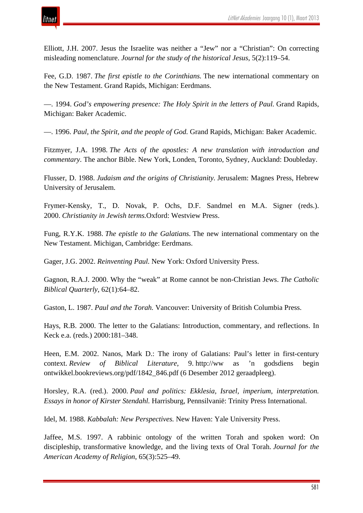

Elliott, J.H. 2007. Jesus the Israelite was neither a "Jew" nor a "Christian": On correcting misleading nomenclature. *Journal for the study of the historical Jesus*, 5(2):119–54.

Fee, G.D. 1987. *The first epistle to the Corinthians.* The new international commentary on the New Testament. Grand Rapids, Michigan: Eerdmans.

—. 1994. *God's empowering presence: The Holy Spirit in the letters of Paul.* Grand Rapids, Michigan: Baker Academic.

—. 1996. *Paul, the Spirit, and the people of God.* Grand Rapids, Michigan: Baker Academic.

Fitzmyer, J.A. 1998. *The Acts of the apostles: A new translation with introduction and commentary.* The anchor Bible. New York, Londen, Toronto, Sydney, Auckland: Doubleday.

Flusser, D. 1988. *Judaism and the origins of Christianity.* Jerusalem: Magnes Press, Hebrew University of Jerusalem.

Frymer-Kensky, T., D. Novak, P. Ochs, D.F. Sandmel en M.A. Signer (reds.). 2000. *Christianity in Jewish terms.*Oxford: Westview Press.

Fung, R.Y.K. 1988. *The epistle to the Galatians.* The new international commentary on the New Testament. Michigan, Cambridge: Eerdmans.

Gager, J.G. 2002. *Reinventing Paul.* New York: Oxford University Press.

Gagnon, R.A.J. 2000. Why the "weak" at Rome cannot be non-Christian Jews. *The Catholic Biblical Quarterly*, 62(1):64–82.

Gaston, L. 1987. *Paul and the Torah.* Vancouver: University of British Columbia Press.

Hays, R.B. 2000. The letter to the Galatians: Introduction, commentary, and reflections. In Keck e.a. (reds.) 2000:181–348.

Heen, E.M. 2002. Nanos, Mark D.: The irony of Galatians: Paul's letter in first-century context. *Review of Biblical Literature*, 9. http://ww as 'n godsdiens begin ontwikkel.bookreviews.org/pdf/1842\_846.pdf (6 Desember 2012 geraadpleeg).

Horsley, R.A. (red.). 2000. *Paul and politics: Ekklesia, Israel, imperium, interpretation. Essays in honor of Kirster Stendahl.* Harrisburg, Pennsilvanië: Trinity Press International.

Idel, M. 1988. *Kabbalah: New Perspectives.* New Haven: Yale University Press.

Jaffee, M.S. 1997. A rabbinic ontology of the written Torah and spoken word: On discipleship, transformative knowledge, and the living texts of Oral Torah. *Journal for the American Academy of Religion*, 65(3):525–49.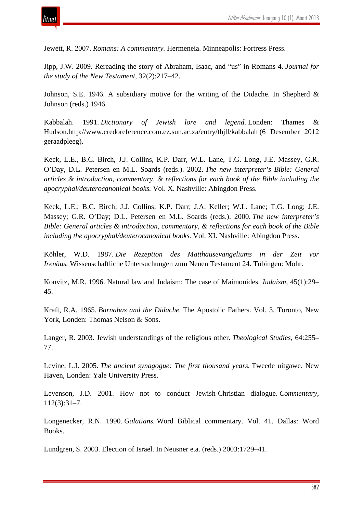

Jewett, R. 2007. *Romans: A commentary.* Hermeneia. Minneapolis: Fortress Press.

Jipp, J.W. 2009. Rereading the story of Abraham, Isaac, and "us" in Romans 4. *Journal for the study of the New Testament*, 32(2):217–42.

Johnson, S.E. 1946. A subsidiary motive for the writing of the Didache. In Shepherd  $\&$ Johnson (reds.) 1946.

Kabbalah. 1991. *Dictionary of Jewish lore and legend.* Londen: Thames & Hudson.http://www.credoreference.com.ez.sun.ac.za/entry/thjll/kabbalah (6 Desember 2012 geraadpleeg).

Keck, L.E., B.C. Birch, J.J. Collins, K.P. Darr, W.L. Lane, T.G. Long, J.E. Massey, G.R. O'Day, D.L. Petersen en M.L. Soards (reds.). 2002. *The new interpreter's Bible: General articles & introduction, commentary, & reflections for each book of the Bible including the apocryphal/deuterocanonical books.* Vol. X. Nashville: Abingdon Press.

Keck, L.E.; B.C. Birch; J.J. Collins; K.P. Darr; J.A. Keller; W.L. Lane; T.G. Long; J.E. Massey; G.R. O'Day; D.L. Petersen en M.L. Soards (reds.). 2000. *The new interpreter's Bible: General articles & introduction, commentary, & reflections for each book of the Bible including the apocryphal/deuterocanonical books.* Vol. XI. Nashville: Abingdon Press.

Köhler, W.D. 1987. *Die Rezeption des Matthäusevangeliums in der Zeit vor Irenäus.* Wissenschaftliche Untersuchungen zum Neuen Testament 24. Tübingen: Mohr.

Konvitz, M.R. 1996. Natural law and Judaism: The case of Maimonides. *Judaism*, 45(1):29– 45.

Kraft, R.A. 1965. *Barnabas and the Didache.* The Apostolic Fathers. Vol. 3. Toronto, New York, Londen: Thomas Nelson & Sons.

Langer, R. 2003. Jewish understandings of the religious other. *Theological Studies*, 64:255– 77.

Levine, L.I. 2005. *The ancient synagogue: The first thousand years.* Tweede uitgawe. New Haven, Londen: Yale University Press.

Levenson, J.D. 2001. How not to conduct Jewish-Christian dialogue. *Commentary*, 112(3):31–7.

Longenecker, R.N. 1990. *Galatians.* Word Biblical commentary. Vol. 41. Dallas: Word Books.

Lundgren, S. 2003. Election of Israel. In Neusner e.a. (reds.) 2003:1729–41.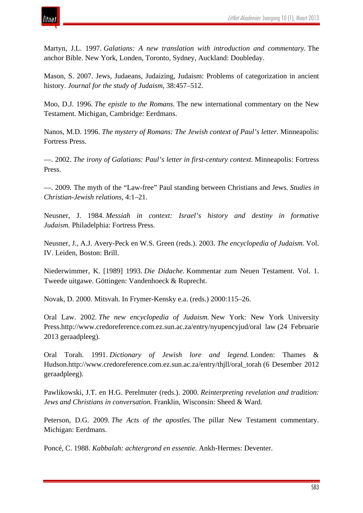

Martyn, J.L. 1997. *Galatians: A new translation with introduction and commentary.* The anchor Bible. New York, Londen, Toronto, Sydney, Auckland: Doubleday.

Mason, S. 2007. Jews, Judaeans, Judaizing, Judaism: Problems of categorization in ancient history. *Journal for the study of Judaism*, 38:457–512.

Moo, D.J. 1996. *The epistle to the Romans.* The new international commentary on the New Testament. Michigan, Cambridge: Eerdmans.

Nanos, M.D. 1996. *The mystery of Romans: The Jewish context of Paul's letter.* Minneapolis: Fortress Press.

—. 2002. *The irony of Galatians: Paul's letter in first-century context.* Minneapolis: Fortress Press.

—. 2009. The myth of the "Law-free" Paul standing between Christians and Jews. *Studies in Christian-Jewish relations*, 4:1–21.

Neusner, J. 1984. *Messiah in context: Israel's history and destiny in formative Judaism.* Philadelphia: Fortress Press.

Neusner, J., A.J. Avery-Peck en W.S. Green (reds.). 2003. *The encyclopedia of Judaism.* Vol. IV. Leiden, Boston: Brill.

Niederwimmer, K. [1989] 1993. *Die Didache.* Kommentar zum Neuen Testament. Vol. 1. Tweede uitgawe. Göttingen: Vandenhoeck & Ruprecht.

Novak, D. 2000. Mitsvah. In Frymer-Kensky e.a. (reds.) 2000:115–26.

Oral Law. 2002. *The new encyclopedia of Judaism.* New York: New York University Press.http://www.credoreference.com.ez.sun.ac.za/entry/nyupencyjud/oral law (24 Februarie 2013 geraadpleeg).

Oral Torah. 1991. *Dictionary of Jewish lore and legend.* Londen: Thames & Hudson.http://www.credoreference.com.ez.sun.ac.za/entry/thjll/oral\_torah (6 Desember 2012 geraadpleeg).

Pawlikowski, J.T. en H.G. Perelmuter (reds.). 2000. *Reinterpreting revelation and tradition: Jews and Christians in conversation.* Franklin, Wisconsin: Sheed & Ward.

Peterson, D.G. 2009. *The Acts of the apostles.* The pillar New Testament commentary. Michigan: Eerdmans.

Poncé, C. 1988. *Kabbalah: achtergrond en essentie.* Ankh-Hermes: Deventer.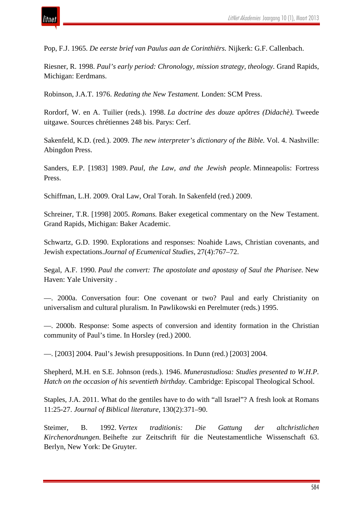

Pop, F.J. 1965. *De eerste brief van Paulus aan de Corinthiërs.* Nijkerk: G.F. Callenbach.

Riesner, R. 1998. *Paul's early period: Chronology, mission strategy, theology.* Grand Rapids, Michigan: Eerdmans.

Robinson, J.A.T. 1976. *Redating the New Testament.* Londen: SCM Press.

Rordorf, W. en A. Tuilier (reds.). 1998. *La doctrine des douze apôtres (Didachè).* Tweede uitgawe. Sources chrétiennes 248 bis. Parys: Cerf.

Sakenfeld, K.D. (red.). 2009. *The new interpreter's dictionary of the Bible.* Vol. 4. Nashville: Abingdon Press.

Sanders, E.P. [1983] 1989. *Paul, the Law, and the Jewish people.* Minneapolis: Fortress Press.

Schiffman, L.H. 2009. Oral Law, Oral Torah. In Sakenfeld (red.) 2009.

Schreiner, T.R. [1998] 2005. *Romans.* Baker exegetical commentary on the New Testament. Grand Rapids, Michigan: Baker Academic.

Schwartz, G.D. 1990. Explorations and responses: Noahide Laws, Christian covenants, and Jewish expectations.*Journal of Ecumenical Studies*, 27(4):767–72.

Segal, A.F. 1990. *Paul the convert: The apostolate and apostasy of Saul the Pharisee.* New Haven: Yale University .

—. 2000a. Conversation four: One covenant or two? Paul and early Christianity on universalism and cultural pluralism. In Pawlikowski en Perelmuter (reds.) 1995.

—. 2000b. Response: Some aspects of conversion and identity formation in the Christian community of Paul's time. In Horsley (red.) 2000.

—. [2003] 2004. Paul's Jewish presuppositions. In Dunn (red.) [2003] 2004.

Shepherd, M.H. en S.E. Johnson (reds.). 1946. *Munerastudiosa: Studies presented to W.H.P. Hatch on the occasion of his seventieth birthday.* Cambridge: Episcopal Theological School.

Staples, J.A. 2011. What do the gentiles have to do with "all Israel"? A fresh look at Romans 11:25-27. *Journal of Biblical literature*, 130(2):371–90.

Steimer, B. 1992. *Vertex traditionis: Die Gattung der altchristlichen Kirchenordnungen.* Beihefte zur Zeitschrift für die Neutestamentliche Wissenschaft 63. Berlyn, New York: De Gruyter.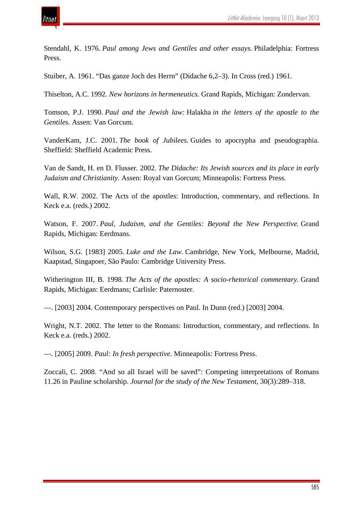

Stendahl, K. 1976. *Paul among Jews and Gentiles and other essays.* Philadelphia: Fortress Press.

Stuiber, A. 1961. "Das ganze Joch des Herrn" (Didache 6,2–3). In Cross (red.) 1961.

Thiselton, A.C. 1992. *New horizons in hermeneutics.* Grand Rapids, Michigan: Zondervan.

Tomson, P.J. 1990. *Paul and the Jewish law:* Halakha *in the letters of the apostle to the Gentiles.* Assen: Van Gorcum.

VanderKam, J.C. 2001. *The book of Jubilees.* Guides to apocrypha and pseudographia. Sheffield: Sheffield Academic Press.

Van de Sandt, H. en D. Flusser. 2002. *The Didache: Its Jewish sources and its place in early Judaism and Christianity.* Assen: Royal van Gorcum; Minneapolis: Fortress Press.

Wall, R.W. 2002. The Acts of the apostles: Introduction, commentary, and reflections. In Keck e.a. (reds.) 2002.

Watson, F. 2007. *Paul, Judaism, and the Gentiles: Beyond the New Perspective.* Grand Rapids, Michigan: Eerdmans.

Wilson, S.G. [1983] 2005. *Luke and the Law.* Cambridge, New York, Melbourne, Madrid, Kaapstad, Singapoer, São Paulo: Cambridge University Press.

Witherington III, B. 1998. *The Acts of the apostles: A socio-rhetorical commentary.* Grand Rapids, Michigan: Eerdmans; Carlisle: Paternoster.

—. [2003] 2004. Contemporary perspectives on Paul. In Dunn (red.) [2003] 2004.

Wright, N.T. 2002. The letter to the Romans: Introduction, commentary, and reflections. In Keck e.a. (reds.) 2002.

—. [2005] 2009. *Paul: In fresh perspective.* Minneapolis: Fortress Press.

Zoccali, C. 2008. "And so all Israel will be saved": Competing interpretations of Romans 11.26 in Pauline scholarship. *Journal for the study of the New Testament*, 30(3):289–318.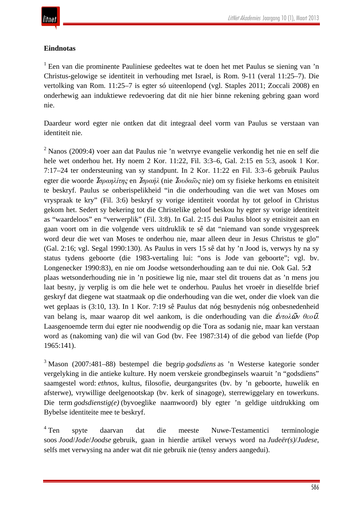## **Eindnotas**

<sup>1</sup> Een van die prominente Pauliniese gedeeltes wat te doen het met Paulus se siening van 'n Christus-gelowige se identiteit in verhouding met Israel, is Rom. 9-11 (veral 11:25–7). Die vertolking van Rom. 11:25–7 is egter só uiteenlopend (vgl. Staples 2011; Zoccali 2008) en onderhewig aan induktiewe redevoering dat dit nie hier binne rekening gebring gaan word nie.

Daardeur word egter nie ontken dat dit integraal deel vorm van Paulus se verstaan van identiteit nie.

<sup>2</sup> Nanos (2009:4) voer aan dat Paulus nie 'n wetvrye evangelie verkondig het nie en self die hele wet onderhou het. Hy noem 2 Kor. 11:22, Fil. 3:3–6, Gal. 2:15 en 5:3, asook 1 Kor. 7:17–24 ter ondersteuning van sy standpunt. In 2 Kor. 11:22 en Fil. 3:3–6 gebruik Paulus egter die woorde Ἰ*σραηλίτης* en Ἰ*σραήλ* (nie Ἰ*ουδαι*͂*ος* nie) om sy fisieke herkoms en etnisiteit te beskryf. Paulus se onberispelikheid "in die onderhouding van die wet van Moses om vryspraak te kry" (Fil. 3:6) beskryf sy vorige identiteit voordat hy tot geloof in Christus gekom het. Sedert sy bekering tot die Christelike geloof beskou hy egter sy vorige identiteit as "waardeloos" en "verwerplik" (Fil. 3:8). In Gal. 2:15 dui Paulus bloot sy etnisiteit aan en gaan voort om in die volgende vers uitdruklik te sê dat "niemand van sonde vrygespreek word deur die wet van Moses te onderhou nie, maar alleen deur in Jesus Christus te glo" (Gal. 2:16; vgl. Segal 1990:130). As Paulus in vers 15 sê dat hy 'n Jood is, verwys hy na sy status tydens geboorte (die 1983-vertaling lui: "ons is Jode van geboorte"; vgl. bv. Longenecker 1990:83), en nie om Joodse wetsonderhouding aan te dui nie. Ook Gal. 5:2−3 plaas wetsonderhouding nie in 'n positiewe lig nie, maar stel dit trouens dat as 'n mens jou laat besny, jy verplig is om die hele wet te onderhou. Paulus het vroeër in dieselfde brief geskryf dat diegene wat staatmaak op die onderhouding van die wet, onder die vloek van die wet geplaas is (3:10, 13). In 1 Kor. 7:19 sê Paulus dat nóg besnydenis nóg onbesnedenheid van belang is, maar waarop dit wel aankom, is die onderhouding van die ἐ*ντολ*ῶ*ν θεο*ῦ. Laasgenoemde term dui egter nie noodwendig op die Tora as sodanig nie, maar kan verstaan word as (nakoming van) die wil van God (bv. Fee 1987:314) of die gebod van liefde (Pop 1965:141).

<sup>3</sup> Mason (2007:481–88) bestempel die begrip *godsdiens* as 'n Westerse kategorie sonder vergelyking in die antieke kulture. Hy noem verskeie grondbeginsels waaruit 'n "godsdiens" saamgestel word: *ethnos*, kultus, filosofie, deurgangsrites (bv. by 'n geboorte, huwelik en afsterwe), vrywillige deelgenootskap (bv. kerk of sinagoge), sterrewiggelary en towerkuns. Die term *godsdienstig(e)* (byvoeglike naamwoord) bly egter 'n geldige uitdrukking om Bybelse identiteite mee te beskryf.

<sup>4</sup> Ten spyte daarvan dat die meeste Nuwe-Testamentici terminologie soos *Jood*/*Jode*/*Joodse* gebruik, gaan in hierdie artikel verwys word na *Judeër(s)*/*Judese*, selfs met verwysing na ander wat dit nie gebruik nie (tensy anders aangedui).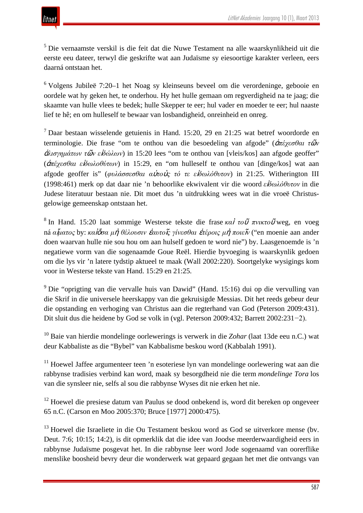<sup>5</sup> Die vernaamste verskil is die feit dat die Nuwe Testament na alle waarskynlikheid uit die eerste eeu dateer, terwyl die geskrifte wat aan Judaïsme sy eiesoortige karakter verleen, eers daarná ontstaan het.

 $6$  Volgens Jubileë 7:20–1 het Noag sy kleinseuns beveel om die verordeninge, gebooie en oordele wat hy geken het, te onderhou. Hy het hulle gemaan om regverdigheid na te jaag; die skaamte van hulle vlees te bedek; hulle Skepper te eer; hul vader en moeder te eer; hul naaste lief te hê; en om hulleself te bewaar van losbandigheid, onreinheid en onreg.

<sup>7</sup> Daar bestaan wisselende getuienis in Hand. 15:20, 29 en 21:25 wat betref woordorde en terminologie. Die frase "om te onthou van die besoedeling van afgode" (ἀ*πέχεσθαι τ*ῶ*ν* ἀ*λισγημάτων τ*ῶ*ν ε*ἰ*δώλων*) in 15:20 lees "om te onthou van [vleis/kos] aan afgode geoffer" (ἀ*πέχεσθαι ε*ἰ*δωλοθύτων*) in 15:29, en "om hulleself te onthou van [dinge/kos] wat aan afgode geoffer is" (*φυλάσσεσθαι α*ὐ*το*ὺ*ς τό τε ε*ἰ*δωλόθυτον*) in 21:25. Witherington III (1998:461) merk op dat daar nie 'n behoorlike ekwivalent vir die woord *ε*ἰ*δωλόθυτον* in die Judese literatuur bestaan nie. Dit moet dus 'n uitdrukking wees wat in die vroeë Christusgelowige gemeenskap ontstaan het.

<sup>8</sup> In Hand. 15:20 laat sommige Westerse tekste die frase *κα*<sup>ὶ</sup> *το*<sup>ῦ</sup> *πνικτο*<sup>ῦ</sup> weg, en voeg ná *α*ἵ*ματος* by: *κα*ὶὅ*σα μ*ὴ *θέλουσιν* ἑ*αυτο*ῖ*ς γίνεσθαι* ἑ*τέροις μ*ὴ *ποιε*ῖ*ν* ("en moenie aan ander doen waarvan hulle nie sou hou om aan hulself gedoen te word nie") by. Laasgenoemde is 'n negatiewe vorm van die sogenaamde Goue Reël. Hierdie byvoeging is waarskynlik gedoen om die lys vir 'n latere tydstip aktueel te maak (Wall 2002:220). Soortgelyke wysigings kom voor in Westerse tekste van Hand. 15:29 en 21:25.

<sup>9</sup> Die "oprigting van die vervalle huis van Dawid" (Hand. 15:16) dui op die vervulling van die Skrif in die universele heerskappy van die gekruisigde Messias. Dit het reeds gebeur deur die opstanding en verhoging van Christus aan die regterhand van God (Peterson 2009:431). Dit sluit dus die heidene by God se volk in (vgl. Peterson 2009:432; Barrett 2002:231−2).

<sup>10</sup> Baie van hierdie mondelinge oorlewerings is verwerk in die *Zohar* (laat 13de eeu n.C.) wat deur Kabbaliste as die "Bybel" van Kabbalisme beskou word (Kabbalah 1991).

 $11$  Hoewel Jaffee argumenteer teen 'n esoteriese lyn van mondelinge oorlewering wat aan die rabbynse tradisies verbind kan word, maak sy besorgdheid nie die term *mondelinge Tora* los van die synsleer nie, selfs al sou die rabbynse Wyses dit nie erken het nie.

<sup>12</sup> Hoewel die presiese datum van Paulus se dood onbekend is, word dit bereken op ongeveer 65 n.C. (Carson en Moo 2005:370; Bruce [1977] 2000:475).

<sup>13</sup> Hoewel die Israeliete in die Ou Testament beskou word as God se uitverkore mense (bv. Deut. 7:6; 10:15; 14:2), is dit opmerklik dat die idee van Joodse meerderwaardigheid eers in rabbynse Judaïsme posgevat het. In die rabbynse leer word Jode sogenaamd van oorerflike menslike boosheid bevry deur die wonderwerk wat gepaard gegaan het met die ontvangs van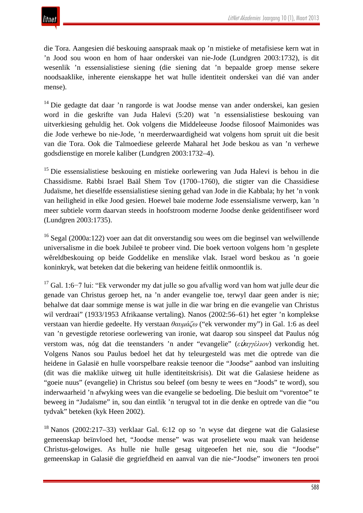die Tora. Aangesien dié beskouing aanspraak maak op 'n mistieke of metafisiese kern wat in 'n Jood sou woon en hom of haar onderskei van nie-Jode (Lundgren 2003:1732), is dit wesenlik 'n essensialistiese siening (die siening dat 'n bepaalde groep mense sekere noodsaaklike, inherente eienskappe het wat hulle identiteit onderskei van dié van ander mense).

<sup>14</sup> Die gedagte dat daar 'n rangorde is wat Joodse mense van ander onderskei, kan gesien word in die geskrifte van Juda Halevi (5:20) wat 'n essensialistiese beskouing van uitverkiesing gehuldig het. Ook volgens die Middeleeuse Joodse filosoof Maimonides was die Jode verhewe bo nie-Jode, 'n meerderwaardigheid wat volgens hom spruit uit die besit van die Tora. Ook die Talmoediese geleerde Maharal het Jode beskou as van 'n verhewe godsdienstige en morele kaliber (Lundgren 2003:1732–4).

<sup>15</sup> Die essensialistiese beskouing en mistieke oorlewering van Juda Halevi is behou in die Chassidisme. Rabbi Israel Baäl Shem Tov (1700–1760), die stigter van die Chassidiese Judaïsme, het dieselfde essensialistiese siening gehad van Jode in die Kabbala; hy het 'n vonk van heiligheid in elke Jood gesien. Hoewel baie moderne Jode essensialisme verwerp, kan 'n meer subtiele vorm daarvan steeds in hoofstroom moderne Joodse denke geïdentifiseer word (Lundgren 2003:1735).

<sup>16</sup> Segal (2000a:122) voer aan dat dit onverstandig sou wees om die beginsel van welwillende universalisme in die boek Jubileë te probeer vind. Die boek vertoon volgens hom 'n gesplete wêreldbeskouing op beide Goddelike en menslike vlak. Israel word beskou as 'n goeie koninkryk, wat beteken dat die bekering van heidene feitlik onmoontlik is.

<sup>17</sup> Gal. 1:6−7 lui: "Ek verwonder my dat julle so gou afvallig word van hom wat julle deur die genade van Christus geroep het, na 'n ander evangelie toe, terwyl daar geen ander is nie; behalwe dat daar sommige mense is wat julle in die war bring en die evangelie van Christus wil verdraai" (1933/1953 Afrikaanse vertaling). Nanos (2002:56–61) het egter 'n komplekse verstaan van hierdie gedeelte. Hy verstaan *θαυμάζω* ("ek verwonder my") in Gal. 1:6 as deel van 'n gevestigde retoriese oorlewering van ironie, wat daarop sou sinspeel dat Paulus nóg verstom was, nóg dat die teenstanders 'n ander "evangelie" (*ε*ὐ*αγγέλιον*) verkondig het. Volgens Nanos sou Paulus bedoel het dat hy teleurgesteld was met die optrede van die heidene in Galasië en hulle voorspelbare reaksie teenoor die "Joodse" aanbod van insluiting (dit was die maklike uitweg uit hulle identiteitskrisis). Dit wat die Galasiese heidene as "goeie nuus" (evangelie) in Christus sou beleef (om besny te wees en "Joods" te word), sou inderwaarheid 'n afwyking wees van die evangelie se bedoeling. Die besluit om "vorentoe" te beweeg in "Judaïsme" in, sou dan eintlik 'n terugval tot in die denke en optrede van die "ou tydvak" beteken (kyk Heen 2002).

<sup>18</sup> Nanos (2002:217–33) verklaar Gal. 6:12 op so 'n wyse dat diegene wat die Galasiese gemeenskap beïnvloed het, "Joodse mense" was wat proseliete wou maak van heidense Christus-gelowiges. As hulle nie hulle gesag uitgeoefen het nie, sou die "Joodse" gemeenskap in Galasië die gegriefdheid en aanval van die nie-"Joodse" inwoners ten prooi